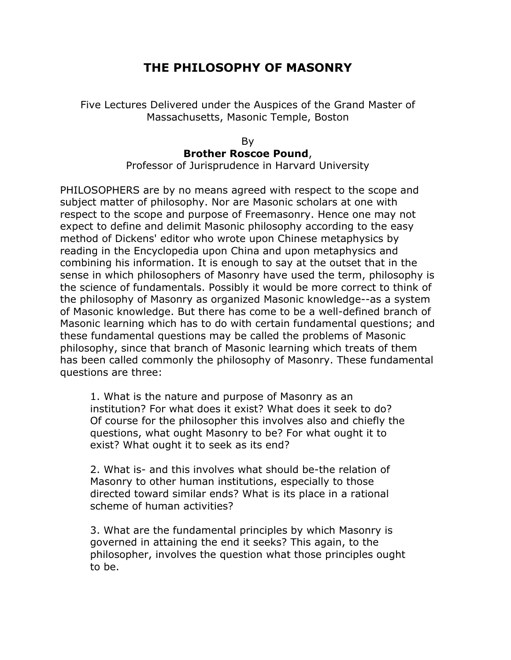## **THE PHILOSOPHY OF MASONRY**

Five Lectures Delivered under the Auspices of the Grand Master of Massachusetts, Masonic Temple, Boston

> By **Brother Roscoe Pound**,

Professor of Jurisprudence in Harvard University

PHILOSOPHERS are by no means agreed with respect to the scope and subject matter of philosophy. Nor are Masonic scholars at one with respect to the scope and purpose of Freemasonry. Hence one may not expect to define and delimit Masonic philosophy according to the easy method of Dickens' editor who wrote upon Chinese metaphysics by reading in the Encyclopedia upon China and upon metaphysics and combining his information. It is enough to say at the outset that in the sense in which philosophers of Masonry have used the term, philosophy is the science of fundamentals. Possibly it would be more correct to think of the philosophy of Masonry as organized Masonic knowledge--as a system of Masonic knowledge. But there has come to be a well-defined branch of Masonic learning which has to do with certain fundamental questions; and these fundamental questions may be called the problems of Masonic philosophy, since that branch of Masonic learning which treats of them has been called commonly the philosophy of Masonry. These fundamental questions are three:

1. What is the nature and purpose of Masonry as an institution? For what does it exist? What does it seek to do? Of course for the philosopher this involves also and chiefly the questions, what ought Masonry to be? For what ought it to exist? What ought it to seek as its end?

2. What is- and this involves what should be-the relation of Masonry to other human institutions, especially to those directed toward similar ends? What is its place in a rational scheme of human activities?

3. What are the fundamental principles by which Masonry is governed in attaining the end it seeks? This again, to the philosopher, involves the question what those principles ought to be.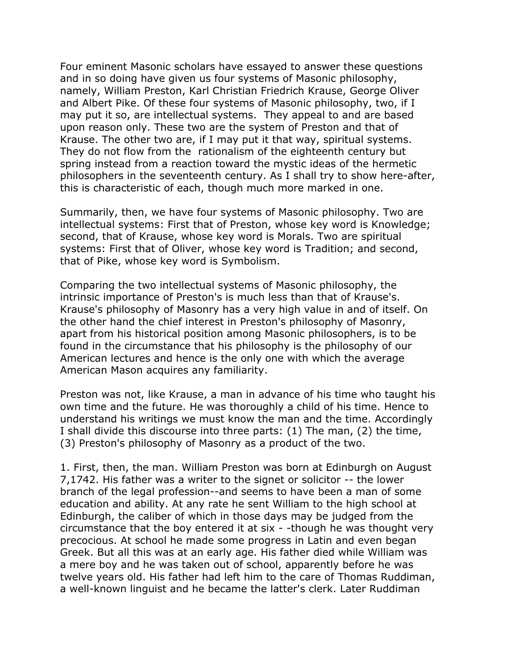Four eminent Masonic scholars have essayed to answer these questions and in so doing have given us four systems of Masonic philosophy, namely, William Preston, Karl Christian Friedrich Krause, George Oliver and Albert Pike. Of these four systems of Masonic philosophy, two, if I may put it so, are intellectual systems. They appeal to and are based upon reason only. These two are the system of Preston and that of Krause. The other two are, if I may put it that way, spiritual systems. They do not flow from the rationalism of the eighteenth century but spring instead from a reaction toward the mystic ideas of the hermetic philosophers in the seventeenth century. As I shall try to show here-after, this is characteristic of each, though much more marked in one.

Summarily, then, we have four systems of Masonic philosophy. Two are intellectual systems: First that of Preston, whose key word is Knowledge; second, that of Krause, whose key word is Morals. Two are spiritual systems: First that of Oliver, whose key word is Tradition; and second, that of Pike, whose key word is Symbolism.

Comparing the two intellectual systems of Masonic philosophy, the intrinsic importance of Preston's is much less than that of Krause's. Krause's philosophy of Masonry has a very high value in and of itself. On the other hand the chief interest in Preston's philosophy of Masonry, apart from his historical position among Masonic philosophers, is to be found in the circumstance that his philosophy is the philosophy of our American lectures and hence is the only one with which the average American Mason acquires any familiarity.

Preston was not, like Krause, a man in advance of his time who taught his own time and the future. He was thoroughly a child of his time. Hence to understand his writings we must know the man and the time. Accordingly I shall divide this discourse into three parts: (1) The man, (2) the time, (3) Preston's philosophy of Masonry as a product of the two.

1. First, then, the man. William Preston was born at Edinburgh on August 7,1742. His father was a writer to the signet or solicitor -- the lower branch of the legal profession--and seems to have been a man of some education and ability. At any rate he sent William to the high school at Edinburgh, the caliber of which in those days may be judged from the circumstance that the boy entered it at six - -though he was thought very precocious. At school he made some progress in Latin and even began Greek. But all this was at an early age. His father died while William was a mere boy and he was taken out of school, apparently before he was twelve years old. His father had left him to the care of Thomas Ruddiman, a well-known linguist and he became the latter's clerk. Later Ruddiman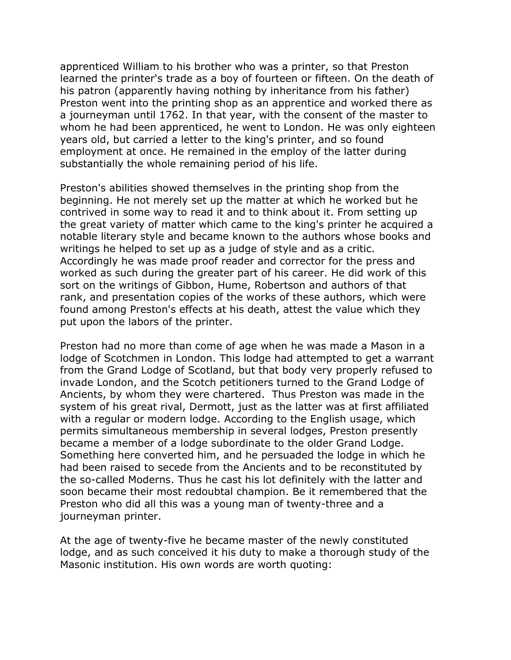apprenticed William to his brother who was a printer, so that Preston learned the printer's trade as a boy of fourteen or fifteen. On the death of his patron (apparently having nothing by inheritance from his father) Preston went into the printing shop as an apprentice and worked there as a journeyman until 1762. In that year, with the consent of the master to whom he had been apprenticed, he went to London. He was only eighteen years old, but carried a letter to the king's printer, and so found employment at once. He remained in the employ of the latter during substantially the whole remaining period of his life.

Preston's abilities showed themselves in the printing shop from the beginning. He not merely set up the matter at which he worked but he contrived in some way to read it and to think about it. From setting up the great variety of matter which came to the king's printer he acquired a notable literary style and became known to the authors whose books and writings he helped to set up as a judge of style and as a critic. Accordingly he was made proof reader and corrector for the press and worked as such during the greater part of his career. He did work of this sort on the writings of Gibbon, Hume, Robertson and authors of that rank, and presentation copies of the works of these authors, which were found among Preston's effects at his death, attest the value which they put upon the labors of the printer.

Preston had no more than come of age when he was made a Mason in a lodge of Scotchmen in London. This lodge had attempted to get a warrant from the Grand Lodge of Scotland, but that body very properly refused to invade London, and the Scotch petitioners turned to the Grand Lodge of Ancients, by whom they were chartered. Thus Preston was made in the system of his great rival, Dermott, just as the latter was at first affiliated with a regular or modern lodge. According to the English usage, which permits simultaneous membership in several lodges, Preston presently became a member of a lodge subordinate to the older Grand Lodge. Something here converted him, and he persuaded the lodge in which he had been raised to secede from the Ancients and to be reconstituted by the so-called Moderns. Thus he cast his lot definitely with the latter and soon became their most redoubtal champion. Be it remembered that the Preston who did all this was a young man of twenty-three and a journeyman printer.

At the age of twenty-five he became master of the newly constituted lodge, and as such conceived it his duty to make a thorough study of the Masonic institution. His own words are worth quoting: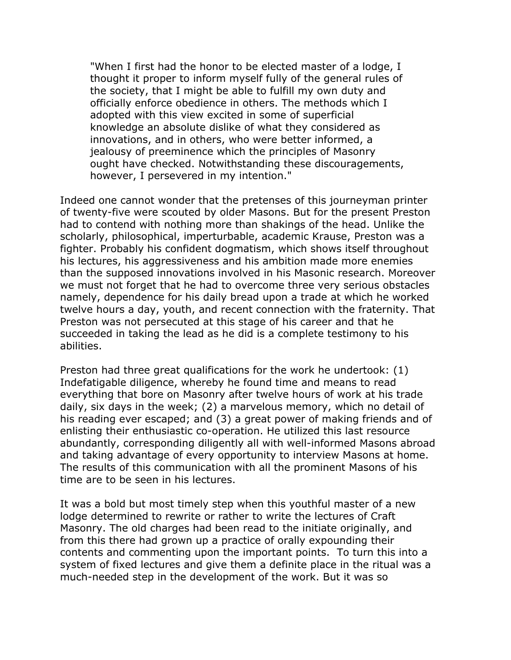"When I first had the honor to be elected master of a lodge, I thought it proper to inform myself fully of the general rules of the society, that I might be able to fulfill my own duty and officially enforce obedience in others. The methods which I adopted with this view excited in some of superficial knowledge an absolute dislike of what they considered as innovations, and in others, who were better informed, a jealousy of preeminence which the principles of Masonry ought have checked. Notwithstanding these discouragements, however, I persevered in my intention."

Indeed one cannot wonder that the pretenses of this journeyman printer of twenty-five were scouted by older Masons. But for the present Preston had to contend with nothing more than shakings of the head. Unlike the scholarly, philosophical, imperturbable, academic Krause, Preston was a fighter. Probably his confident dogmatism, which shows itself throughout his lectures, his aggressiveness and his ambition made more enemies than the supposed innovations involved in his Masonic research. Moreover we must not forget that he had to overcome three very serious obstacles namely, dependence for his daily bread upon a trade at which he worked twelve hours a day, youth, and recent connection with the fraternity. That Preston was not persecuted at this stage of his career and that he succeeded in taking the lead as he did is a complete testimony to his abilities.

Preston had three great qualifications for the work he undertook: (1) Indefatigable diligence, whereby he found time and means to read everything that bore on Masonry after twelve hours of work at his trade daily, six days in the week; (2) a marvelous memory, which no detail of his reading ever escaped; and (3) a great power of making friends and of enlisting their enthusiastic co-operation. He utilized this last resource abundantly, corresponding diligently all with well-informed Masons abroad and taking advantage of every opportunity to interview Masons at home. The results of this communication with all the prominent Masons of his time are to be seen in his lectures.

It was a bold but most timely step when this youthful master of a new lodge determined to rewrite or rather to write the lectures of Craft Masonry. The old charges had been read to the initiate originally, and from this there had grown up a practice of orally expounding their contents and commenting upon the important points. To turn this into a system of fixed lectures and give them a definite place in the ritual was a much-needed step in the development of the work. But it was so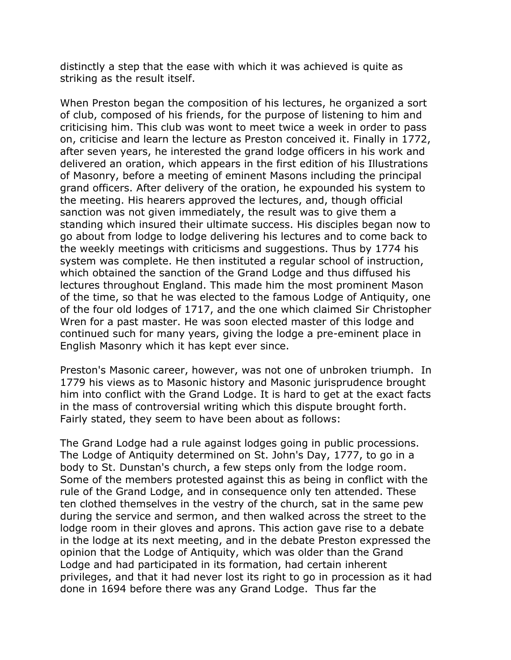distinctly a step that the ease with which it was achieved is quite as striking as the result itself.

When Preston began the composition of his lectures, he organized a sort of club, composed of his friends, for the purpose of listening to him and criticising him. This club was wont to meet twice a week in order to pass on, criticise and learn the lecture as Preston conceived it. Finally in 1772, after seven years, he interested the grand lodge officers in his work and delivered an oration, which appears in the first edition of his Illustrations of Masonry, before a meeting of eminent Masons including the principal grand officers. After delivery of the oration, he expounded his system to the meeting. His hearers approved the lectures, and, though official sanction was not given immediately, the result was to give them a standing which insured their ultimate success. His disciples began now to go about from lodge to lodge delivering his lectures and to come back to the weekly meetings with criticisms and suggestions. Thus by 1774 his system was complete. He then instituted a regular school of instruction, which obtained the sanction of the Grand Lodge and thus diffused his lectures throughout England. This made him the most prominent Mason of the time, so that he was elected to the famous Lodge of Antiquity, one of the four old lodges of 1717, and the one which claimed Sir Christopher Wren for a past master. He was soon elected master of this lodge and continued such for many years, giving the lodge a pre-eminent place in English Masonry which it has kept ever since.

Preston's Masonic career, however, was not one of unbroken triumph. In 1779 his views as to Masonic history and Masonic jurisprudence brought him into conflict with the Grand Lodge. It is hard to get at the exact facts in the mass of controversial writing which this dispute brought forth. Fairly stated, they seem to have been about as follows:

The Grand Lodge had a rule against lodges going in public processions. The Lodge of Antiquity determined on St. John's Day, 1777, to go in a body to St. Dunstan's church, a few steps only from the lodge room. Some of the members protested against this as being in conflict with the rule of the Grand Lodge, and in consequence only ten attended. These ten clothed themselves in the vestry of the church, sat in the same pew during the service and sermon, and then walked across the street to the lodge room in their gloves and aprons. This action gave rise to a debate in the lodge at its next meeting, and in the debate Preston expressed the opinion that the Lodge of Antiquity, which was older than the Grand Lodge and had participated in its formation, had certain inherent privileges, and that it had never lost its right to go in procession as it had done in 1694 before there was any Grand Lodge. Thus far the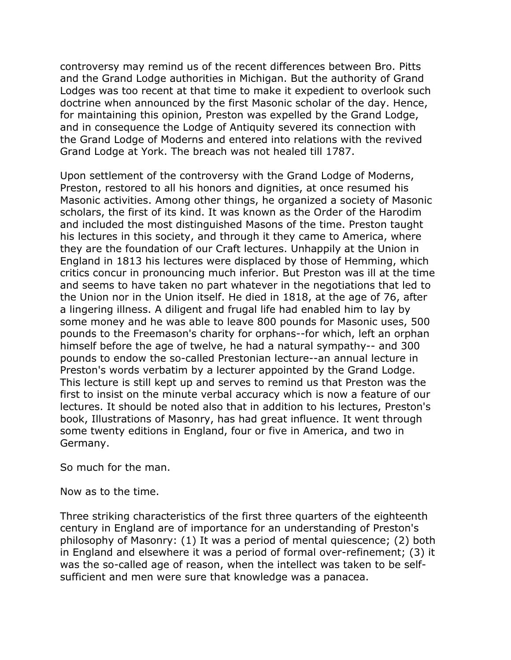controversy may remind us of the recent differences between Bro. Pitts and the Grand Lodge authorities in Michigan. But the authority of Grand Lodges was too recent at that time to make it expedient to overlook such doctrine when announced by the first Masonic scholar of the day. Hence, for maintaining this opinion, Preston was expelled by the Grand Lodge, and in consequence the Lodge of Antiquity severed its connection with the Grand Lodge of Moderns and entered into relations with the revived Grand Lodge at York. The breach was not healed till 1787.

Upon settlement of the controversy with the Grand Lodge of Moderns, Preston, restored to all his honors and dignities, at once resumed his Masonic activities. Among other things, he organized a society of Masonic scholars, the first of its kind. It was known as the Order of the Harodim and included the most distinguished Masons of the time. Preston taught his lectures in this society, and through it they came to America, where they are the foundation of our Craft lectures. Unhappily at the Union in England in 1813 his lectures were displaced by those of Hemming, which critics concur in pronouncing much inferior. But Preston was ill at the time and seems to have taken no part whatever in the negotiations that led to the Union nor in the Union itself. He died in 1818, at the age of 76, after a lingering illness. A diligent and frugal life had enabled him to lay by some money and he was able to leave 800 pounds for Masonic uses, 500 pounds to the Freemason's charity for orphans--for which, left an orphan himself before the age of twelve, he had a natural sympathy-- and 300 pounds to endow the so-called Prestonian lecture--an annual lecture in Preston's words verbatim by a lecturer appointed by the Grand Lodge. This lecture is still kept up and serves to remind us that Preston was the first to insist on the minute verbal accuracy which is now a feature of our lectures. It should be noted also that in addition to his lectures, Preston's book, Illustrations of Masonry, has had great influence. It went through some twenty editions in England, four or five in America, and two in Germany.

So much for the man.

Now as to the time.

Three striking characteristics of the first three quarters of the eighteenth century in England are of importance for an understanding of Preston's philosophy of Masonry: (1) It was a period of mental quiescence; (2) both in England and elsewhere it was a period of formal over-refinement; (3) it was the so-called age of reason, when the intellect was taken to be selfsufficient and men were sure that knowledge was a panacea.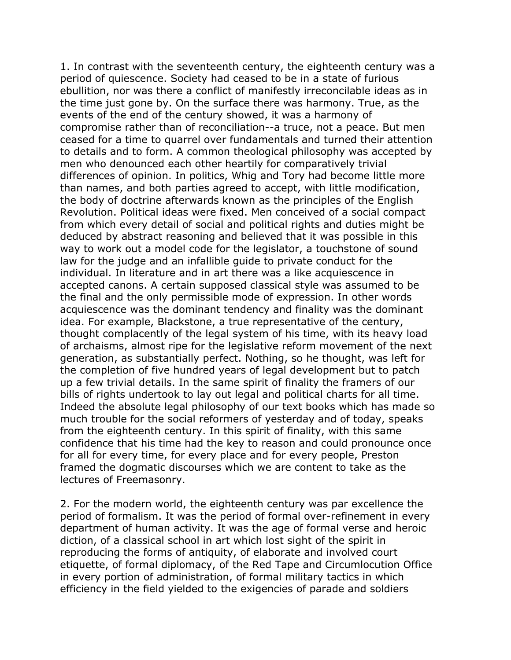1. In contrast with the seventeenth century, the eighteenth century was a period of quiescence. Society had ceased to be in a state of furious ebullition, nor was there a conflict of manifestly irreconcilable ideas as in the time just gone by. On the surface there was harmony. True, as the events of the end of the century showed, it was a harmony of compromise rather than of reconciliation--a truce, not a peace. But men ceased for a time to quarrel over fundamentals and turned their attention to details and to form. A common theological philosophy was accepted by men who denounced each other heartily for comparatively trivial differences of opinion. In politics, Whig and Tory had become little more than names, and both parties agreed to accept, with little modification, the body of doctrine afterwards known as the principles of the English Revolution. Political ideas were fixed. Men conceived of a social compact from which every detail of social and political rights and duties might be deduced by abstract reasoning and believed that it was possible in this way to work out a model code for the legislator, a touchstone of sound law for the judge and an infallible guide to private conduct for the individual. In literature and in art there was a like acquiescence in accepted canons. A certain supposed classical style was assumed to be the final and the only permissible mode of expression. In other words acquiescence was the dominant tendency and finality was the dominant idea. For example, Blackstone, a true representative of the century, thought complacently of the legal system of his time, with its heavy load of archaisms, almost ripe for the legislative reform movement of the next generation, as substantially perfect. Nothing, so he thought, was left for the completion of five hundred years of legal development but to patch up a few trivial details. In the same spirit of finality the framers of our bills of rights undertook to lay out legal and political charts for all time. Indeed the absolute legal philosophy of our text books which has made so much trouble for the social reformers of yesterday and of today, speaks from the eighteenth century. In this spirit of finality, with this same confidence that his time had the key to reason and could pronounce once for all for every time, for every place and for every people, Preston framed the dogmatic discourses which we are content to take as the lectures of Freemasonry.

2. For the modern world, the eighteenth century was par excellence the period of formalism. It was the period of formal over-refinement in every department of human activity. It was the age of formal verse and heroic diction, of a classical school in art which lost sight of the spirit in reproducing the forms of antiquity, of elaborate and involved court etiquette, of formal diplomacy, of the Red Tape and Circumlocution Office in every portion of administration, of formal military tactics in which efficiency in the field yielded to the exigencies of parade and soldiers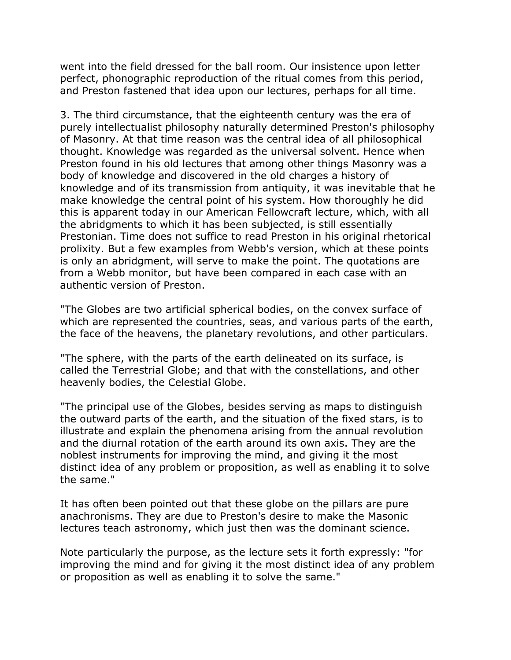went into the field dressed for the ball room. Our insistence upon letter perfect, phonographic reproduction of the ritual comes from this period, and Preston fastened that idea upon our lectures, perhaps for all time.

3. The third circumstance, that the eighteenth century was the era of purely intellectualist philosophy naturally determined Preston's philosophy of Masonry. At that time reason was the central idea of all philosophical thought. Knowledge was regarded as the universal solvent. Hence when Preston found in his old lectures that among other things Masonry was a body of knowledge and discovered in the old charges a history of knowledge and of its transmission from antiquity, it was inevitable that he make knowledge the central point of his system. How thoroughly he did this is apparent today in our American Fellowcraft lecture, which, with all the abridgments to which it has been subjected, is still essentially Prestonian. Time does not suffice to read Preston in his original rhetorical prolixity. But a few examples from Webb's version, which at these points is only an abridgment, will serve to make the point. The quotations are from a Webb monitor, but have been compared in each case with an authentic version of Preston.

"The Globes are two artificial spherical bodies, on the convex surface of which are represented the countries, seas, and various parts of the earth, the face of the heavens, the planetary revolutions, and other particulars.

"The sphere, with the parts of the earth delineated on its surface, is called the Terrestrial Globe; and that with the constellations, and other heavenly bodies, the Celestial Globe.

"The principal use of the Globes, besides serving as maps to distinguish the outward parts of the earth, and the situation of the fixed stars, is to illustrate and explain the phenomena arising from the annual revolution and the diurnal rotation of the earth around its own axis. They are the noblest instruments for improving the mind, and giving it the most distinct idea of any problem or proposition, as well as enabling it to solve the same."

It has often been pointed out that these globe on the pillars are pure anachronisms. They are due to Preston's desire to make the Masonic lectures teach astronomy, which just then was the dominant science.

Note particularly the purpose, as the lecture sets it forth expressly: "for improving the mind and for giving it the most distinct idea of any problem or proposition as well as enabling it to solve the same."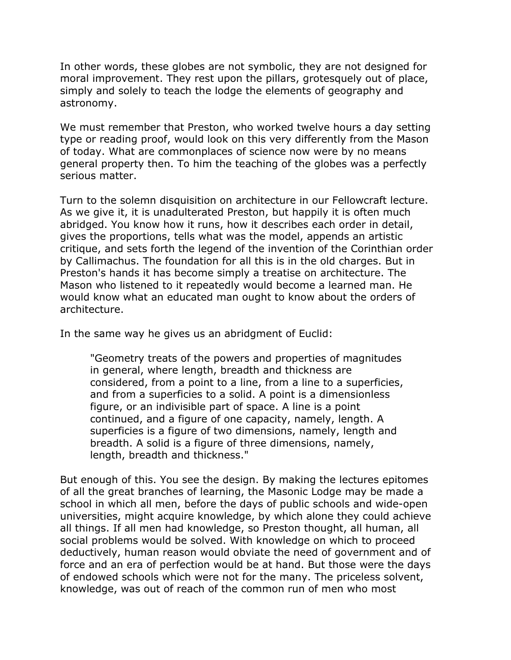In other words, these globes are not symbolic, they are not designed for moral improvement. They rest upon the pillars, grotesquely out of place, simply and solely to teach the lodge the elements of geography and astronomy.

We must remember that Preston, who worked twelve hours a day setting type or reading proof, would look on this very differently from the Mason of today. What are commonplaces of science now were by no means general property then. To him the teaching of the globes was a perfectly serious matter.

Turn to the solemn disquisition on architecture in our Fellowcraft lecture. As we give it, it is unadulterated Preston, but happily it is often much abridged. You know how it runs, how it describes each order in detail, gives the proportions, tells what was the model, appends an artistic critique, and sets forth the legend of the invention of the Corinthian order by Callimachus. The foundation for all this is in the old charges. But in Preston's hands it has become simply a treatise on architecture. The Mason who listened to it repeatedly would become a learned man. He would know what an educated man ought to know about the orders of architecture.

In the same way he gives us an abridgment of Euclid:

"Geometry treats of the powers and properties of magnitudes in general, where length, breadth and thickness are considered, from a point to a line, from a line to a superficies, and from a superficies to a solid. A point is a dimensionless figure, or an indivisible part of space. A line is a point continued, and a figure of one capacity, namely, length. A superficies is a figure of two dimensions, namely, length and breadth. A solid is a figure of three dimensions, namely, length, breadth and thickness."

But enough of this. You see the design. By making the lectures epitomes of all the great branches of learning, the Masonic Lodge may be made a school in which all men, before the days of public schools and wide-open universities, might acquire knowledge, by which alone they could achieve all things. If all men had knowledge, so Preston thought, all human, all social problems would be solved. With knowledge on which to proceed deductively, human reason would obviate the need of government and of force and an era of perfection would be at hand. But those were the days of endowed schools which were not for the many. The priceless solvent, knowledge, was out of reach of the common run of men who most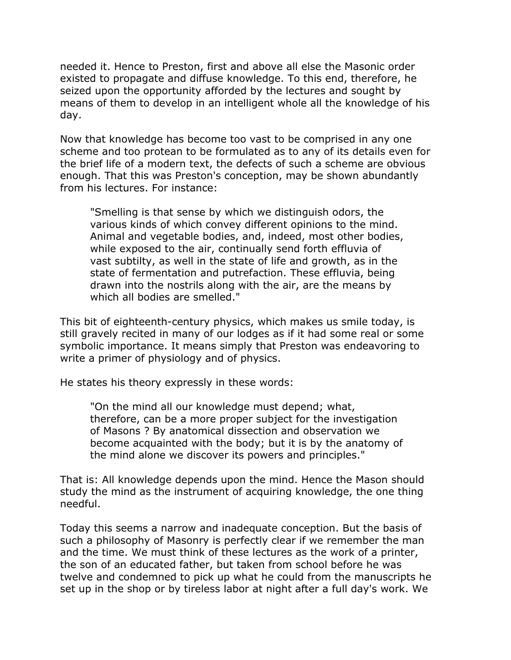needed it. Hence to Preston, first and above all else the Masonic order existed to propagate and diffuse knowledge. To this end, therefore, he seized upon the opportunity afforded by the lectures and sought by means of them to develop in an intelligent whole all the knowledge of his day.

Now that knowledge has become too vast to be comprised in any one scheme and too protean to be formulated as to any of its details even for the brief life of a modern text, the defects of such a scheme are obvious enough. That this was Preston's conception, may be shown abundantly from his lectures. For instance:

"Smelling is that sense by which we distinguish odors, the various kinds of which convey different opinions to the mind. Animal and vegetable bodies, and, indeed, most other bodies, while exposed to the air, continually send forth effluvia of vast subtilty, as well in the state of life and growth, as in the state of fermentation and putrefaction. These effluvia, being drawn into the nostrils along with the air, are the means by which all bodies are smelled."

This bit of eighteenth-century physics, which makes us smile today, is still gravely recited in many of our lodges as if it had some real or some symbolic importance. It means simply that Preston was endeavoring to write a primer of physiology and of physics.

He states his theory expressly in these words:

"On the mind all our knowledge must depend; what, therefore, can be a more proper subject for the investigation of Masons ? By anatomical dissection and observation we become acquainted with the body; but it is by the anatomy of the mind alone we discover its powers and principles."

That is: All knowledge depends upon the mind. Hence the Mason should study the mind as the instrument of acquiring knowledge, the one thing needful.

Today this seems a narrow and inadequate conception. But the basis of such a philosophy of Masonry is perfectly clear if we remember the man and the time. We must think of these lectures as the work of a printer, the son of an educated father, but taken from school before he was twelve and condemned to pick up what he could from the manuscripts he set up in the shop or by tireless labor at night after a full day's work. We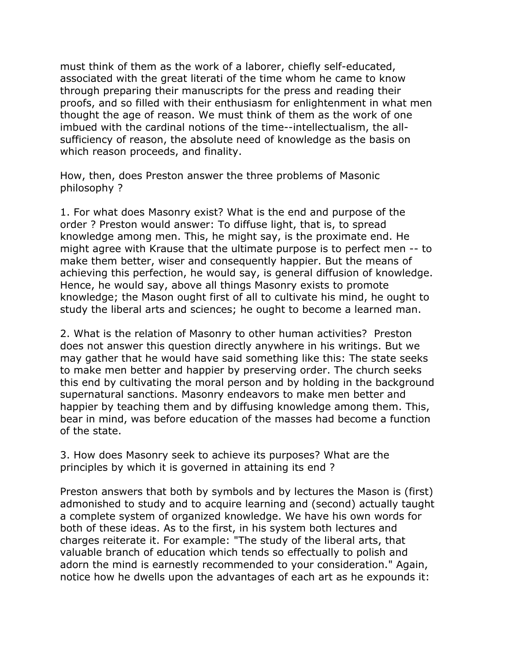must think of them as the work of a laborer, chiefly self-educated, associated with the great literati of the time whom he came to know through preparing their manuscripts for the press and reading their proofs, and so filled with their enthusiasm for enlightenment in what men thought the age of reason. We must think of them as the work of one imbued with the cardinal notions of the time--intellectualism, the allsufficiency of reason, the absolute need of knowledge as the basis on which reason proceeds, and finality.

How, then, does Preston answer the three problems of Masonic philosophy ?

1. For what does Masonry exist? What is the end and purpose of the order ? Preston would answer: To diffuse light, that is, to spread knowledge among men. This, he might say, is the proximate end. He might agree with Krause that the ultimate purpose is to perfect men -- to make them better, wiser and consequently happier. But the means of achieving this perfection, he would say, is general diffusion of knowledge. Hence, he would say, above all things Masonry exists to promote knowledge; the Mason ought first of all to cultivate his mind, he ought to study the liberal arts and sciences; he ought to become a learned man.

2. What is the relation of Masonry to other human activities? Preston does not answer this question directly anywhere in his writings. But we may gather that he would have said something like this: The state seeks to make men better and happier by preserving order. The church seeks this end by cultivating the moral person and by holding in the background supernatural sanctions. Masonry endeavors to make men better and happier by teaching them and by diffusing knowledge among them. This, bear in mind, was before education of the masses had become a function of the state.

3. How does Masonry seek to achieve its purposes? What are the principles by which it is governed in attaining its end ?

Preston answers that both by symbols and by lectures the Mason is (first) admonished to study and to acquire learning and (second) actually taught a complete system of organized knowledge. We have his own words for both of these ideas. As to the first, in his system both lectures and charges reiterate it. For example: "The study of the liberal arts, that valuable branch of education which tends so effectually to polish and adorn the mind is earnestly recommended to your consideration." Again, notice how he dwells upon the advantages of each art as he expounds it: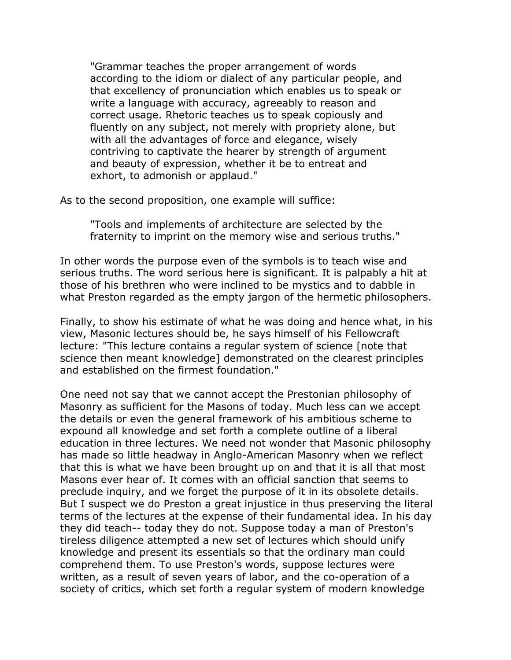"Grammar teaches the proper arrangement of words according to the idiom or dialect of any particular people, and that excellency of pronunciation which enables us to speak or write a language with accuracy, agreeably to reason and correct usage. Rhetoric teaches us to speak copiously and fluently on any subject, not merely with propriety alone, but with all the advantages of force and elegance, wisely contriving to captivate the hearer by strength of argument and beauty of expression, whether it be to entreat and exhort, to admonish or applaud."

As to the second proposition, one example will suffice:

"Tools and implements of architecture are selected by the fraternity to imprint on the memory wise and serious truths."

In other words the purpose even of the symbols is to teach wise and serious truths. The word serious here is significant. It is palpably a hit at those of his brethren who were inclined to be mystics and to dabble in what Preston regarded as the empty jargon of the hermetic philosophers.

Finally, to show his estimate of what he was doing and hence what, in his view, Masonic lectures should be, he says himself of his Fellowcraft lecture: "This lecture contains a regular system of science [note that science then meant knowledge] demonstrated on the clearest principles and established on the firmest foundation."

One need not say that we cannot accept the Prestonian philosophy of Masonry as sufficient for the Masons of today. Much less can we accept the details or even the general framework of his ambitious scheme to expound all knowledge and set forth a complete outline of a liberal education in three lectures. We need not wonder that Masonic philosophy has made so little headway in Anglo-American Masonry when we reflect that this is what we have been brought up on and that it is all that most Masons ever hear of. It comes with an official sanction that seems to preclude inquiry, and we forget the purpose of it in its obsolete details. But I suspect we do Preston a great injustice in thus preserving the literal terms of the lectures at the expense of their fundamental idea. In his day they did teach-- today they do not. Suppose today a man of Preston's tireless diligence attempted a new set of lectures which should unify knowledge and present its essentials so that the ordinary man could comprehend them. To use Preston's words, suppose lectures were written, as a result of seven years of labor, and the co-operation of a society of critics, which set forth a regular system of modern knowledge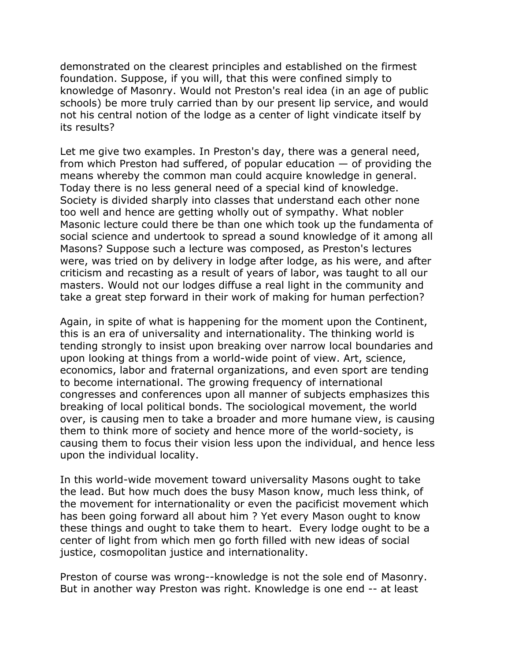demonstrated on the clearest principles and established on the firmest foundation. Suppose, if you will, that this were confined simply to knowledge of Masonry. Would not Preston's real idea (in an age of public schools) be more truly carried than by our present lip service, and would not his central notion of the lodge as a center of light vindicate itself by its results?

Let me give two examples. In Preston's day, there was a general need, from which Preston had suffered, of popular education — of providing the means whereby the common man could acquire knowledge in general. Today there is no less general need of a special kind of knowledge. Society is divided sharply into classes that understand each other none too well and hence are getting wholly out of sympathy. What nobler Masonic lecture could there be than one which took up the fundamenta of social science and undertook to spread a sound knowledge of it among all Masons? Suppose such a lecture was composed, as Preston's lectures were, was tried on by delivery in lodge after lodge, as his were, and after criticism and recasting as a result of years of labor, was taught to all our masters. Would not our lodges diffuse a real light in the community and take a great step forward in their work of making for human perfection?

Again, in spite of what is happening for the moment upon the Continent, this is an era of universality and internationality. The thinking world is tending strongly to insist upon breaking over narrow local boundaries and upon looking at things from a world-wide point of view. Art, science, economics, labor and fraternal organizations, and even sport are tending to become international. The growing frequency of international congresses and conferences upon all manner of subjects emphasizes this breaking of local political bonds. The sociological movement, the world over, is causing men to take a broader and more humane view, is causing them to think more of society and hence more of the world-society, is causing them to focus their vision less upon the individual, and hence less upon the individual locality.

In this world-wide movement toward universality Masons ought to take the lead. But how much does the busy Mason know, much less think, of the movement for internationality or even the pacificist movement which has been going forward all about him ? Yet every Mason ought to know these things and ought to take them to heart. Every lodge ought to be a center of light from which men go forth filled with new ideas of social justice, cosmopolitan justice and internationality.

Preston of course was wrong--knowledge is not the sole end of Masonry. But in another way Preston was right. Knowledge is one end -- at least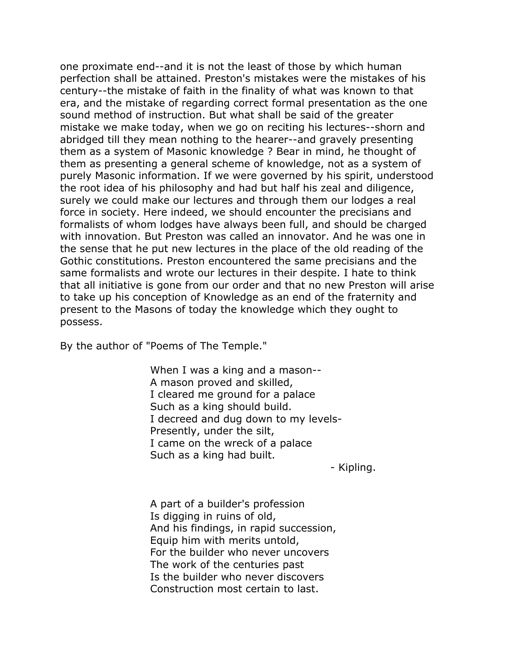one proximate end--and it is not the least of those by which human perfection shall be attained. Preston's mistakes were the mistakes of his century--the mistake of faith in the finality of what was known to that era, and the mistake of regarding correct formal presentation as the one sound method of instruction. But what shall be said of the greater mistake we make today, when we go on reciting his lectures--shorn and abridged till they mean nothing to the hearer--and gravely presenting them as a system of Masonic knowledge ? Bear in mind, he thought of them as presenting a general scheme of knowledge, not as a system of purely Masonic information. If we were governed by his spirit, understood the root idea of his philosophy and had but half his zeal and diligence, surely we could make our lectures and through them our lodges a real force in society. Here indeed, we should encounter the precisians and formalists of whom lodges have always been full, and should be charged with innovation. But Preston was called an innovator. And he was one in the sense that he put new lectures in the place of the old reading of the Gothic constitutions. Preston encountered the same precisians and the same formalists and wrote our lectures in their despite. I hate to think that all initiative is gone from our order and that no new Preston will arise to take up his conception of Knowledge as an end of the fraternity and present to the Masons of today the knowledge which they ought to possess.

By the author of "Poems of The Temple."

When I was a king and a mason-- A mason proved and skilled, I cleared me ground for a palace Such as a king should build. I decreed and dug down to my levels-Presently, under the silt, I came on the wreck of a palace Such as a king had built.

- Kipling.

A part of a builder's profession Is digging in ruins of old, And his findings, in rapid succession, Equip him with merits untold, For the builder who never uncovers The work of the centuries past Is the builder who never discovers Construction most certain to last.